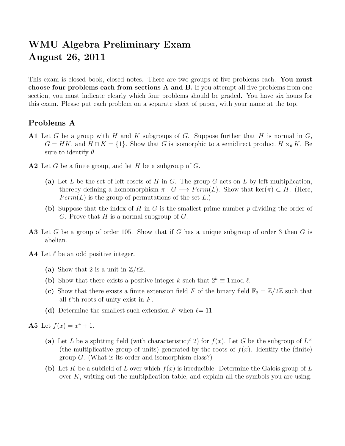## WMU Algebra Preliminary Exam August 26, 2011

This exam is closed book, closed notes. There are two groups of five problems each. You must choose four problems each from sections A and B. If you attempt all five problems from one section, you must indicate clearly which four problems should be graded. You have six hours for this exam. Please put each problem on a separate sheet of paper, with your name at the top.

## Problems A

- A1 Let G be a group with H and K subgroups of G. Suppose further that H is normal in  $G$ ,  $G = HK$ , and  $H \cap K = \{1\}$ . Show that G is isomorphic to a semidirect product  $H \rtimes_{\theta} K$ . Be sure to identify  $\theta$ .
- A2 Let G be a finite group, and let H be a subgroup of  $G$ .
	- (a) Let L be the set of left cosets of H in G. The group G acts on L by left multiplication, thereby defining a homomorphism  $\pi : G \longrightarrow Perm(L)$ . Show that ker $(\pi) \subset H$ . (Here,  $Perm(L)$  is the group of permutations of the set L.)
	- (b) Suppose that the index of H in G is the smallest prime number  $p$  dividing the order of G. Prove that  $H$  is a normal subgroup of  $G$ .
- A3 Let G be a group of order 105. Show that if G has a unique subgroup of order 3 then G is abelian.
- **A4** Let  $\ell$  be an odd positive integer.
	- (a) Show that 2 is a unit in  $\mathbb{Z}/\ell\mathbb{Z}$ .
	- (b) Show that there exists a positive integer k such that  $2^k \equiv 1 \mod l$ .
	- (c) Show that there exists a finite extension field F of the binary field  $\mathbb{F}_2 = \mathbb{Z}/2\mathbb{Z}$  such that all  $\ell$ 'th roots of unity exist in F.
	- (d) Determine the smallest such extension F when  $\ell = 11$ .

**A5** Let  $f(x) = x^4 + 1$ .

- (a) Let L be a splitting field (with characteristic  $\neq$  2) for  $f(x)$ . Let G be the subgroup of  $L^{\times}$ (the multiplicative group of units) generated by the roots of  $f(x)$ . Identify the (finite) group  $G$ . (What is its order and isomorphism class?)
- (b) Let K be a subfield of L over which  $f(x)$  is irreducible. Determine the Galois group of L over  $K$ , writing out the multiplication table, and explain all the symbols you are using.